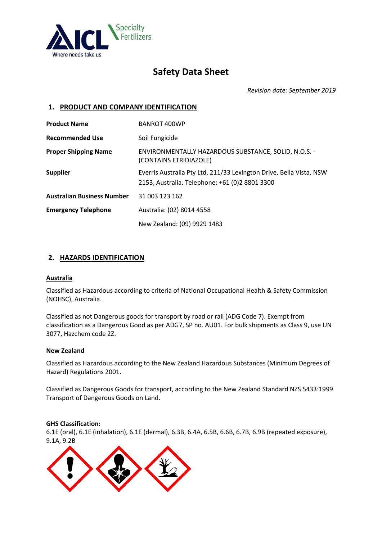

# **Safety Data Sheet**

*Revision date: September 2019*

# **1. PRODUCT AND COMPANY IDENTIFICATION**

| <b>Product Name</b>               | <b>BANROT 400WP</b>                                                                                                   |
|-----------------------------------|-----------------------------------------------------------------------------------------------------------------------|
| <b>Recommended Use</b>            | Soil Fungicide                                                                                                        |
| <b>Proper Shipping Name</b>       | ENVIRONMENTALLY HAZARDOUS SUBSTANCE, SOLID, N.O.S. -<br>(CONTAINS ETRIDIAZOLE)                                        |
| <b>Supplier</b>                   | Everris Australia Pty Ltd, 211/33 Lexington Drive, Bella Vista, NSW<br>2153, Australia. Telephone: +61 (0)2 8801 3300 |
| <b>Australian Business Number</b> | 31 003 123 162                                                                                                        |
| <b>Emergency Telephone</b>        | Australia: (02) 8014 4558                                                                                             |
|                                   | New Zealand: (09) 9929 1483                                                                                           |

# **2. HAZARDS IDENTIFICATION**

#### **Australia**

Classified as Hazardous according to criteria of National Occupational Health & Safety Commission (NOHSC), Australia.

Classified as not Dangerous goods for transport by road or rail (ADG Code 7). Exempt from classification as a Dangerous Good as per ADG7, SP no. AU01. For bulk shipments as Class 9, use UN 3077, Hazchem code 2Z.

#### **New Zealand**

Classified as Hazardous according to the New Zealand Hazardous Substances (Minimum Degrees of Hazard) Regulations 2001.

Classified as Dangerous Goods for transport, according to the New Zealand Standard NZS 5433:1999 Transport of Dangerous Goods on Land.

#### **GHS Classification:**

6.1E (oral), 6.1E (inhalation), 6.1E (dermal), 6.3B, 6.4A, 6.5B, 6.6B, 6.7B, 6.9B (repeated exposure), 9.1A, 9.2B

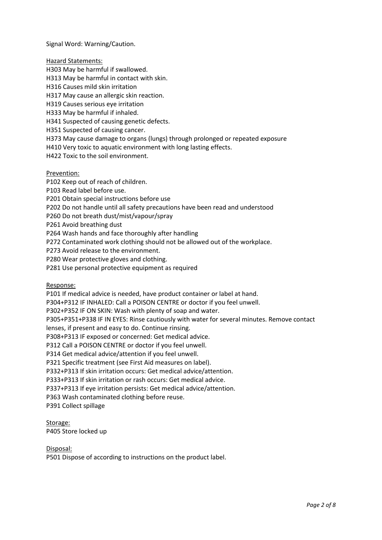Signal Word: Warning/Caution.

Hazard Statements:

H303 May be harmful if swallowed.

H313 May be harmful in contact with skin.

H316 Causes mild skin irritation

H317 May cause an allergic skin reaction.

H319 Causes serious eye irritation

H333 May be harmful if inhaled.

H341 Suspected of causing genetic defects.

H351 Suspected of causing cancer.

H373 May cause damage to organs (lungs) through prolonged or repeated exposure

H410 Very toxic to aquatic environment with long lasting effects.

H422 Toxic to the soil environment.

Prevention:

P102 Keep out of reach of children.

P103 Read label before use.

P201 Obtain special instructions before use

P202 Do not handle until all safety precautions have been read and understood

P260 Do not breath dust/mist/vapour/spray

P261 Avoid breathing dust

P264 Wash hands and face thoroughly after handling

P272 Contaminated work clothing should not be allowed out of the workplace.

P273 Avoid release to the environment.

P280 Wear protective gloves and clothing.

P281 Use personal protective equipment as required

Response:

P101 If medical advice is needed, have product container or label at hand.

P304+P312 IF INHALED: Call a POISON CENTRE or doctor if you feel unwell.

P302+P352 IF ON SKIN: Wash with plenty of soap and water.

P305+P351+P338 IF IN EYES: Rinse cautiously with water for several minutes. Remove contact

lenses, if present and easy to do. Continue rinsing.

P308+P313 IF exposed or concerned: Get medical advice.

P312 Call a POISON CENTRE or doctor if you feel unwell.

P314 Get medical advice/attention if you feel unwell.

P321 Specific treatment (see First Aid measures on label).

P332+P313 If skin irritation occurs: Get medical advice/attention.

P333+P313 If skin irritation or rash occurs: Get medical advice.

P337+P313 If eye irritation persists: Get medical advice/attention.

P363 Wash contaminated clothing before reuse.

P391 Collect spillage

Storage: P405 Store locked up

Disposal:

P501 Dispose of according to instructions on the product label.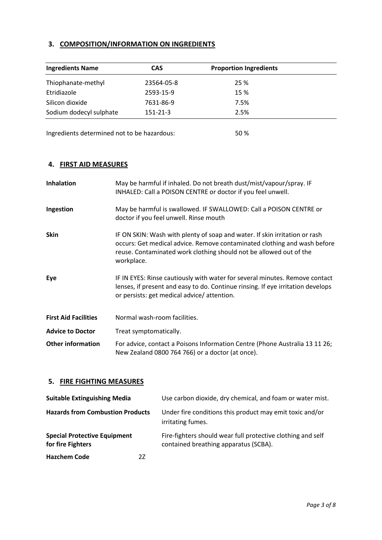# **3. COMPOSITION/INFORMATION ON INGREDIENTS**

| <b>Ingredients Name</b> | <b>CAS</b> | <b>Proportion Ingredients</b> |  |
|-------------------------|------------|-------------------------------|--|
| Thiophanate-methyl      | 23564-05-8 | 25 %                          |  |
| Etridiazole             | 2593-15-9  | 15 %                          |  |
| Silicon dioxide         | 7631-86-9  | 7.5%                          |  |
| Sodium dodecyl sulphate | 151-21-3   | 2.5%                          |  |

Ingredients determined not to be hazardous: 50 %

# **4. FIRST AID MEASURES**

| <b>Inhalation</b>           | May be harmful if inhaled. Do not breath dust/mist/vapour/spray. IF<br>INHALED: Call a POISON CENTRE or doctor if you feel unwell.                                                                                                         |
|-----------------------------|--------------------------------------------------------------------------------------------------------------------------------------------------------------------------------------------------------------------------------------------|
| Ingestion                   | May be harmful is swallowed. IF SWALLOWED: Call a POISON CENTRE or<br>doctor if you feel unwell. Rinse mouth                                                                                                                               |
| <b>Skin</b>                 | IF ON SKIN: Wash with plenty of soap and water. If skin irritation or rash<br>occurs: Get medical advice. Remove contaminated clothing and wash before<br>reuse. Contaminated work clothing should not be allowed out of the<br>workplace. |
| Eye                         | IF IN EYES: Rinse cautiously with water for several minutes. Remove contact<br>lenses, if present and easy to do. Continue rinsing. If eye irritation develops<br>or persists: get medical advice/attention.                               |
| <b>First Aid Facilities</b> | Normal wash-room facilities.                                                                                                                                                                                                               |
| <b>Advice to Doctor</b>     | Treat symptomatically.                                                                                                                                                                                                                     |
| <b>Other information</b>    | For advice, contact a Poisons Information Centre (Phone Australia 13 11 26;<br>New Zealand 0800 764 766) or a doctor (at once).                                                                                                            |

# **5. FIRE FIGHTING MEASURES**

| <b>Suitable Extinguishing Media</b>                      |    | Use carbon dioxide, dry chemical, and foam or water mist.                                            |
|----------------------------------------------------------|----|------------------------------------------------------------------------------------------------------|
| <b>Hazards from Combustion Products</b>                  |    | Under fire conditions this product may emit toxic and/or<br>irritating fumes.                        |
| <b>Special Protective Equipment</b><br>for fire Fighters |    | Fire-fighters should wear full protective clothing and self<br>contained breathing apparatus (SCBA). |
| <b>Hazchem Code</b>                                      | 27 |                                                                                                      |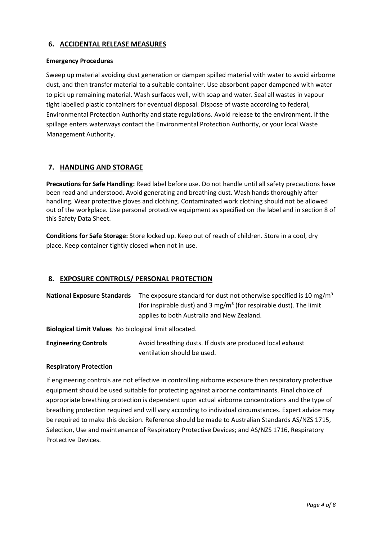### **6. ACCIDENTAL RELEASE MEASURES**

#### **Emergency Procedures**

Sweep up material avoiding dust generation or dampen spilled material with water to avoid airborne dust, and then transfer material to a suitable container. Use absorbent paper dampened with water to pick up remaining material. Wash surfaces well, with soap and water. Seal all wastes in vapour tight labelled plastic containers for eventual disposal. Dispose of waste according to federal, Environmental Protection Authority and state regulations. Avoid release to the environment. If the spillage enters waterways contact the Environmental Protection Authority, or your local Waste Management Authority.

# **7. HANDLING AND STORAGE**

**Precautions for Safe Handling:** Read label before use. Do not handle until all safety precautions have been read and understood. Avoid generating and breathing dust. Wash hands thoroughly after handling. Wear protective gloves and clothing. Contaminated work clothing should not be allowed out of the workplace. Use personal protective equipment as specified on the label and in section 8 of this Safety Data Sheet.

**Conditions for Safe Storage:** Store locked up. Keep out of reach of children. Store in a cool, dry place. Keep container tightly closed when not in use.

### **8. EXPOSURE CONTROLS/ PERSONAL PROTECTION**

| <b>National Exposure Standards</b> The exposure standard for dust not otherwise specified is 10 mg/m <sup>3</sup> |  |
|-------------------------------------------------------------------------------------------------------------------|--|
| (for inspirable dust) and 3 mg/m <sup>3</sup> (for respirable dust). The limit                                    |  |
| applies to both Australia and New Zealand.                                                                        |  |

**Biological Limit Values** No biological limit allocated.

**Engineering Controls Avoid breathing dusts. If dusts are produced local exhaust** ventilation should be used.

#### **Respiratory Protection**

If engineering controls are not effective in controlling airborne exposure then respiratory protective equipment should be used suitable for protecting against airborne contaminants. Final choice of appropriate breathing protection is dependent upon actual airborne concentrations and the type of breathing protection required and will vary according to individual circumstances. Expert advice may be required to make this decision. Reference should be made to Australian Standards AS/NZS 1715, Selection, Use and maintenance of Respiratory Protective Devices; and AS/NZS 1716, Respiratory Protective Devices.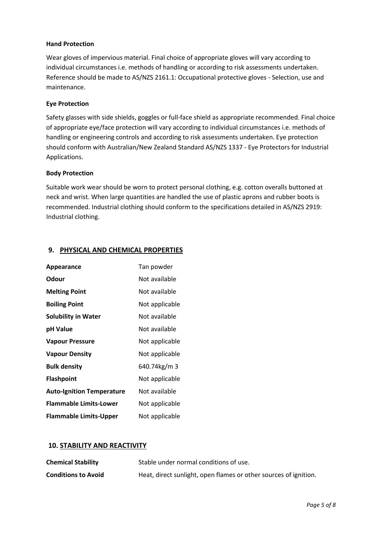#### **Hand Protection**

Wear gloves of impervious material. Final choice of appropriate gloves will vary according to individual circumstances i.e. methods of handling or according to risk assessments undertaken. Reference should be made to AS/NZS 2161.1: Occupational protective gloves - Selection, use and maintenance.

#### **Eye Protection**

Safety glasses with side shields, goggles or full-face shield as appropriate recommended. Final choice of appropriate eye/face protection will vary according to individual circumstances i.e. methods of handling or engineering controls and according to risk assessments undertaken. Eye protection should conform with Australian/New Zealand Standard AS/NZS 1337 - Eye Protectors for Industrial Applications.

#### **Body Protection**

Suitable work wear should be worn to protect personal clothing, e.g. cotton overalls buttoned at neck and wrist. When large quantities are handled the use of plastic aprons and rubber boots is recommended. Industrial clothing should conform to the specifications detailed in AS/NZS 2919: Industrial clothing.

### **9. PHYSICAL AND CHEMICAL PROPERTIES**

| Appearance                       | Tan powder     |
|----------------------------------|----------------|
| Odour                            | Not available  |
| <b>Melting Point</b>             | Not available  |
| <b>Boiling Point</b>             | Not applicable |
| <b>Solubility in Water</b>       | Not available  |
| pH Value                         | Not available  |
| <b>Vapour Pressure</b>           | Not applicable |
| <b>Vapour Density</b>            | Not applicable |
| <b>Bulk density</b>              | 640.74kg/m 3   |
| <b>Flashpoint</b>                | Not applicable |
| <b>Auto-Ignition Temperature</b> | Not available  |
| <b>Flammable Limits-Lower</b>    | Not applicable |
| <b>Flammable Limits-Upper</b>    | Not applicable |

#### **10. STABILITY AND REACTIVITY**

| <b>Chemical Stability</b>  | Stable under normal conditions of use.                           |
|----------------------------|------------------------------------------------------------------|
| <b>Conditions to Avoid</b> | Heat, direct sunlight, open flames or other sources of ignition. |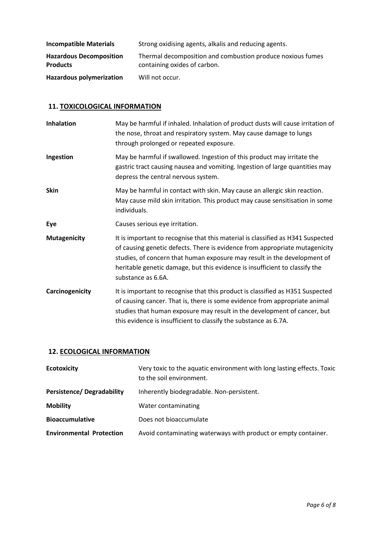| <b>Incompatible Materials</b>                     | Strong oxidising agents, alkalis and reducing agents.                                      |
|---------------------------------------------------|--------------------------------------------------------------------------------------------|
| <b>Hazardous Decomposition</b><br><b>Products</b> | Thermal decomposition and combustion produce noxious fumes<br>containing oxides of carbon. |
| <b>Hazardous polymerization</b>                   | Will not occur.                                                                            |

# **11. TOXICOLOGICAL INFORMATION**

| <b>Inhalation</b>   | May be harmful if inhaled. Inhalation of product dusts will cause irritation of<br>the nose, throat and respiratory system. May cause damage to lungs<br>through prolonged or repeated exposure.                                                                                                                                                |
|---------------------|-------------------------------------------------------------------------------------------------------------------------------------------------------------------------------------------------------------------------------------------------------------------------------------------------------------------------------------------------|
| Ingestion           | May be harmful if swallowed. Ingestion of this product may irritate the<br>gastric tract causing nausea and vomiting. Ingestion of large quantities may<br>depress the central nervous system.                                                                                                                                                  |
| <b>Skin</b>         | May be harmful in contact with skin. May cause an allergic skin reaction.<br>May cause mild skin irritation. This product may cause sensitisation in some<br>individuals.                                                                                                                                                                       |
| Eye                 | Causes serious eye irritation.                                                                                                                                                                                                                                                                                                                  |
| <b>Mutagenicity</b> | It is important to recognise that this material is classified as H341 Suspected<br>of causing genetic defects. There is evidence from appropriate mutagenicity<br>studies, of concern that human exposure may result in the development of<br>heritable genetic damage, but this evidence is insufficient to classify the<br>substance as 6.6A. |
| Carcinogenicity     | It is important to recognise that this product is classified as H351 Suspected<br>of causing cancer. That is, there is some evidence from appropriate animal<br>studies that human exposure may result in the development of cancer, but<br>this evidence is insufficient to classify the substance as 6.7A.                                    |

# **12. ECOLOGICAL INFORMATION**

| <b>Ecotoxicity</b>               | Very toxic to the aquatic environment with long lasting effects. Toxic<br>to the soil environment. |  |
|----------------------------------|----------------------------------------------------------------------------------------------------|--|
| <b>Persistence/Degradability</b> | Inherently biodegradable. Non-persistent.                                                          |  |
| <b>Mobility</b>                  | Water contaminating                                                                                |  |
| <b>Bioaccumulative</b>           | Does not bioaccumulate                                                                             |  |
| <b>Environmental Protection</b>  | Avoid contaminating waterways with product or empty container.                                     |  |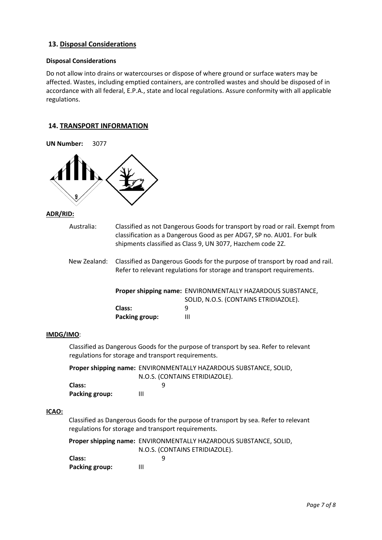# **13. Disposal Considerations**

# **Disposal Considerations**

Do not allow into drains or watercourses or dispose of where ground or surface waters may be affected. Wastes, including emptied containers, are controlled wastes and should be disposed of in accordance with all federal, E.P.A., state and local regulations. Assure conformity with all applicable regulations.

### **14. TRANSPORT INFORMATION**

| <b>UN Number:</b> | 3077                                                                                                                                        |                                                                                                                                                       |                                                                                                                                                                                                                     |
|-------------------|---------------------------------------------------------------------------------------------------------------------------------------------|-------------------------------------------------------------------------------------------------------------------------------------------------------|---------------------------------------------------------------------------------------------------------------------------------------------------------------------------------------------------------------------|
|                   |                                                                                                                                             |                                                                                                                                                       |                                                                                                                                                                                                                     |
| <b>ADR/RID:</b>   |                                                                                                                                             |                                                                                                                                                       |                                                                                                                                                                                                                     |
|                   | Australia:                                                                                                                                  |                                                                                                                                                       | Classified as not Dangerous Goods for transport by road or rail. Exempt from<br>classification as a Dangerous Good as per ADG7, SP no. AU01. For bulk<br>shipments classified as Class 9, UN 3077, Hazchem code 2Z. |
|                   | New Zealand:                                                                                                                                | Classified as Dangerous Goods for the purpose of transport by road and rail.<br>Refer to relevant regulations for storage and transport requirements. |                                                                                                                                                                                                                     |
|                   |                                                                                                                                             | Class:<br><b>Packing group:</b>                                                                                                                       | Proper shipping name: ENVIRONMENTALLY HAZARDOUS SUBSTANCE,<br>SOLID, N.O.S. (CONTAINS ETRIDIAZOLE).<br>9<br>Ш                                                                                                       |
| IMDG/IMO:         |                                                                                                                                             |                                                                                                                                                       |                                                                                                                                                                                                                     |
|                   |                                                                                                                                             | regulations for storage and transport requirements.                                                                                                   | Classified as Dangerous Goods for the purpose of transport by sea. Refer to relevant                                                                                                                                |
|                   | Proper shipping name: ENVIRONMENTALLY HAZARDOUS SUBSTANCE, SOLID,<br>N.O.S. (CONTAINS ETRIDIAZOLE).                                         |                                                                                                                                                       |                                                                                                                                                                                                                     |
|                   | Class:<br><b>Packing group:</b>                                                                                                             | 9<br>Ш                                                                                                                                                |                                                                                                                                                                                                                     |
| ICAO:             | Classified as Dangerous Goods for the purpose of transport by sea. Refer to relevant<br>regulations for storage and transport requirements. |                                                                                                                                                       |                                                                                                                                                                                                                     |
|                   | Class:<br><b>Packing group:</b>                                                                                                             | 9<br>III                                                                                                                                              | Proper shipping name: ENVIRONMENTALLY HAZARDOUS SUBSTANCE, SOLID,<br>N.O.S. (CONTAINS ETRIDIAZOLE).                                                                                                                 |
|                   |                                                                                                                                             |                                                                                                                                                       |                                                                                                                                                                                                                     |